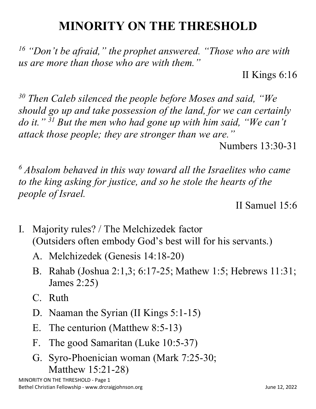## **MINORITY ON THE THRESHOLD**

*<sup>16</sup> "Don't be afraid," the prophet answered. "Those who are with us are more than those who are with them."*

II Kings 6:16

*<sup>30</sup> Then Caleb silenced the people before Moses and said, "We should go up and take possession of the land, for we can certainly do it." <sup>31</sup> But the men who had gone up with him said, "We can't attack those people; they are stronger than we are."*

Numbers 13:30-31

*<sup>6</sup> Absalom behaved in this way toward all the Israelites who came to the king asking for justice, and so he stole the hearts of the people of Israel.*

II Samuel 15:6

- I. Majority rules? / The Melchizedek factor (Outsiders often embody God's best will for his servants.)
	- A. Melchizedek (Genesis 14:18-20)
	- B. Rahab (Joshua 2:1,3; 6:17-25; Mathew 1:5; Hebrews 11:31; James 2:25)
	- C. Ruth
	- D. Naaman the Syrian (II Kings 5:1-15)
	- E. The centurion (Matthew 8:5-13)
	- F. The good Samaritan (Luke 10:5-37)
	- G. Syro-Phoenician woman (Mark 7:25-30; Matthew 15:21-28)

MINORITY ON THE THRESHOLD - Page 1 Bethel Christian Fellowship - www.drcraigjohnson.org **Section 12, 2022** June 12, 2022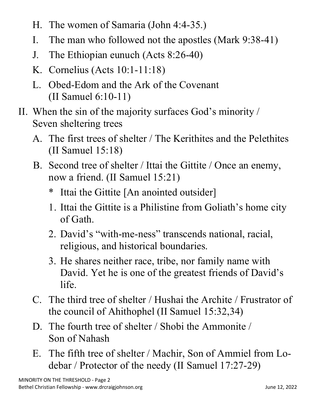- H. The women of Samaria (John 4:4-35.)
- I. The man who followed not the apostles (Mark 9:38-41)
- J. The Ethiopian eunuch (Acts 8:26-40)
- K. Cornelius (Acts 10:1-11:18)
- L. Obed-Edom and the Ark of the Covenant (II Samuel 6:10-11)
- II. When the sin of the majority surfaces God's minority / Seven sheltering trees
	- A. The first trees of shelter / The Kerithites and the Pelethites (II Samuel 15:18)
	- B. Second tree of shelter / Ittai the Gittite / Once an enemy, now a friend. (II Samuel 15:21)
		- \* Ittai the Gittite [An anointed outsider]
		- 1. Ittai the Gittite is a Philistine from Goliath's home city of Gath.
		- 2. David's "with-me-ness" transcends national, racial, religious, and historical boundaries.
		- 3. He shares neither race, tribe, nor family name with David. Yet he is one of the greatest friends of David's life.
	- C. The third tree of shelter / Hushai the Archite / Frustrator of the council of Ahithophel (II Samuel 15:32,34)
	- D. The fourth tree of shelter / Shobi the Ammonite / Son of Nahash
	- E. The fifth tree of shelter / Machir, Son of Ammiel from Lodebar / Protector of the needy (II Samuel 17:27-29)